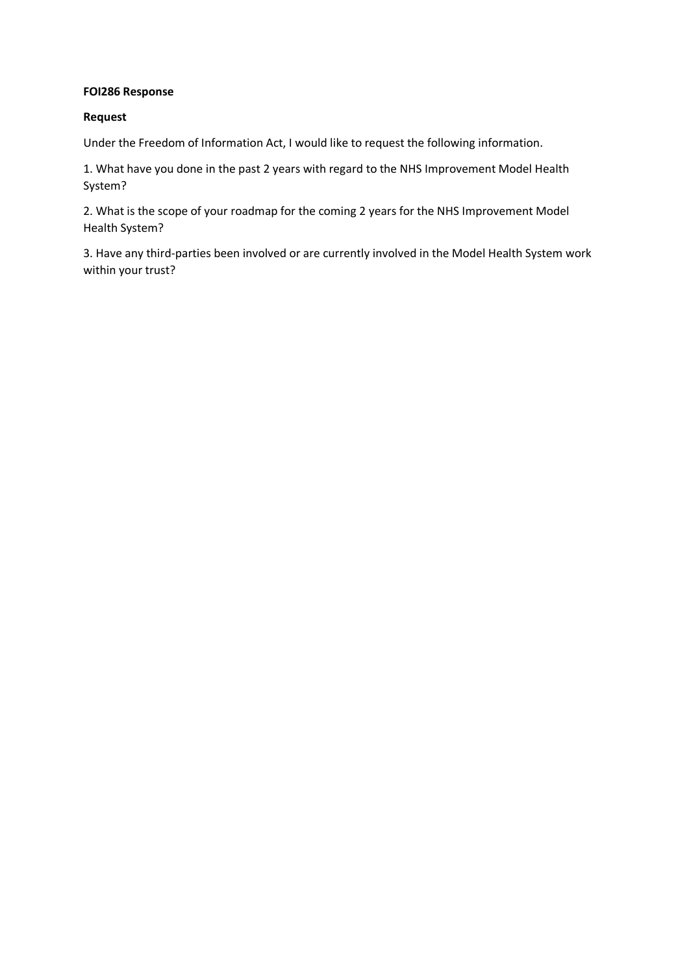#### **FOI286 Response**

### **Request**

Under the Freedom of Information Act, I would like to request the following information.

1. What have you done in the past 2 years with regard to the NHS Improvement Model Health System?

2. What is the scope of your roadmap for the coming 2 years for the NHS Improvement Model Health System?

3. Have any third-parties been involved or are currently involved in the Model Health System work within your trust?